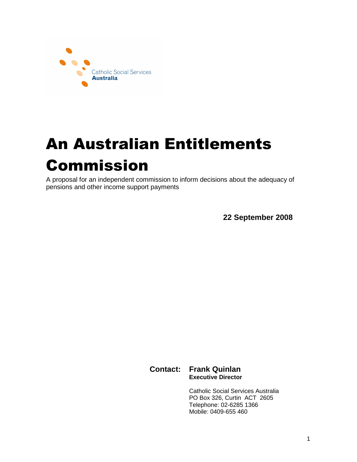

# An Australian Entitlements Commission

A proposal for an independent commission to inform decisions about the adequacy of pensions and other income support payments

**22 September 2008** 

**Contact: Frank Quinlan Executive Director** 

> Catholic Social Services Australia PO Box 326, Curtin ACT 2605 Telephone: 02-6285 1366 Mobile: 0409-655 460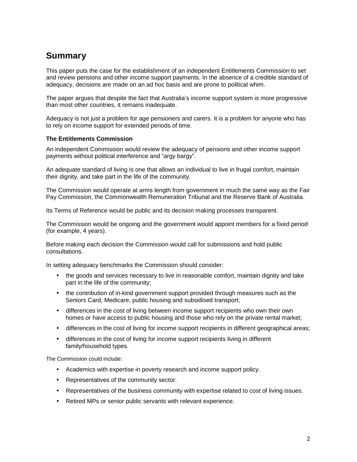# **Summary**

This paper puts the case for the establishment of an independent Entitlements Commission to set and review pensions and other income support payments. In the absence of a credible standard of adequacy, decisions are made on an ad hoc basis and are prone to political whim.

The paper argues that despite the fact that Australia's income support system is more progressive than most other countries, it remains inadequate.

Adequacy is not just a problem for age pensioners and carers. It is a problem for anyone who has to rely on income support for extended periods of time.

#### **The Entitlements Commission**

An independent Commission would review the adequacy of pensions and other income support payments without political interference and "argy bargy".

An adequate standard of living is one that allows an individual to live in frugal comfort, maintain their dignity, and take part in the life of the community.

The Commission would operate at arms length from government in much the same way as the Fair Pay Commission, the Commonwealth Remuneration Tribunal and the Reserve Bank of Australia.

Its Terms of Reference would be public and its decision making processes transparent.

The Commission would be ongoing and the government would appoint members for a fixed period (for example, 4 years).

Before making each decision the Commission would call for submissions and hold public consultations.

In setting adequacy benchmarks the Commission should consider:

- the goods and services necessary to live in reasonable comfort, maintain dignity and take part in the life of the community;
- the contribution of in-kind government support provided through measures such as the Seniors Card, Medicare, public housing and subsidised transport;
- differences in the cost of living between income support recipients who own their own homes or have access to public housing and those who rely on the private rental market;
- differences in the cost of living for income support recipients in different geographical areas;
- differences in the cost of living for income support recipients living in different family/household types.

The Commission could include:

- Academics with expertise in poverty research and income support policy.
- Representatives of the community sector.
- Representatives of the business community with expertise related to cost of living issues.
- Retired MPs or senior public servants with relevant experience.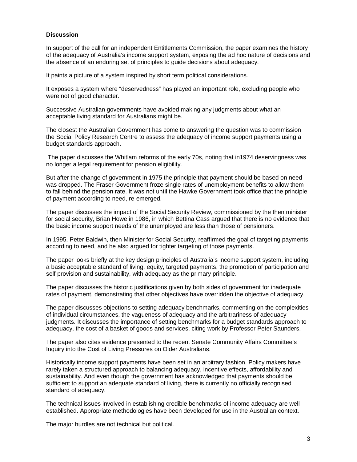#### **Discussion**

In support of the call for an independent Entitlements Commission, the paper examines the history of the adequacy of Australia's income support system, exposing the ad hoc nature of decisions and the absence of an enduring set of principles to guide decisions about adequacy.

It paints a picture of a system inspired by short term political considerations.

It exposes a system where "deservedness" has played an important role, excluding people who were not of good character.

Successive Australian governments have avoided making any judgments about what an acceptable living standard for Australians might be.

The closest the Australian Government has come to answering the question was to commission the Social Policy Research Centre to assess the adequacy of income support payments using a budget standards approach.

 The paper discusses the Whitlam reforms of the early 70s, noting that in1974 deservingness was no longer a legal requirement for pension eligibility.

But after the change of government in 1975 the principle that payment should be based on need was dropped. The Fraser Government froze single rates of unemployment benefits to allow them to fall behind the pension rate. It was not until the Hawke Government took office that the principle of payment according to need, re-emerged.

The paper discusses the impact of the Social Security Review, commissioned by the then minister for social security, Brian Howe in 1986, in which Bettina Cass argued that there is no evidence that the basic income support needs of the unemployed are less than those of pensioners.

In 1995, Peter Baldwin, then Minister for Social Security, reaffirmed the goal of targeting payments according to need, and he also argued for tighter targeting of those payments.

The paper looks briefly at the key design principles of Australia's income support system, including a basic acceptable standard of living, equity, targeted payments, the promotion of participation and self provision and sustainability, with adequacy as the primary principle.

The paper discusses the historic justifications given by both sides of government for inadequate rates of payment, demonstrating that other objectives have overridden the objective of adequacy.

The paper discusses objections to setting adequacy benchmarks, commenting on the complexities of individual circumstances, the vagueness of adequacy and the arbitrariness of adequacy judgments. It discusses the importance of setting benchmarks for a budget standards approach to adequacy, the cost of a basket of goods and services, citing work by Professor Peter Saunders.

The paper also cites evidence presented to the recent Senate Community Affairs Committee's Inquiry into the Cost of Living Pressures on Older Australians.

Historically income support payments have been set in an arbitrary fashion. Policy makers have rarely taken a structured approach to balancing adequacy, incentive effects, affordability and sustainability. And even though the government has acknowledged that payments should be sufficient to support an adequate standard of living, there is currently no officially recognised standard of adequacy.

The technical issues involved in establishing credible benchmarks of income adequacy are well established. Appropriate methodologies have been developed for use in the Australian context.

The major hurdles are not technical but political.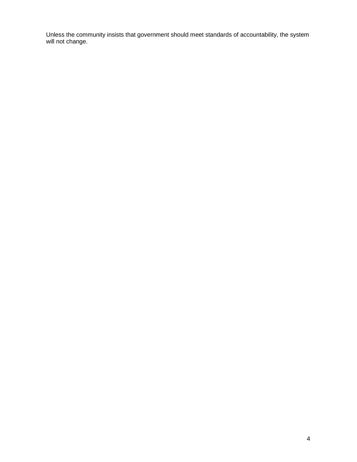Unless the community insists that government should meet standards of accountability, the system will not change.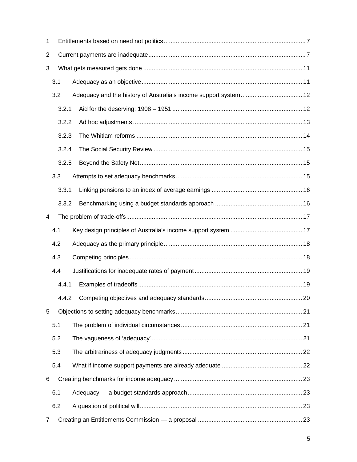| 1              |       |  |  |  |  |
|----------------|-------|--|--|--|--|
| $\overline{2}$ |       |  |  |  |  |
| 3              |       |  |  |  |  |
|                | 3.1   |  |  |  |  |
|                | 3.2   |  |  |  |  |
|                | 3.2.1 |  |  |  |  |
|                | 3.2.2 |  |  |  |  |
|                | 3.2.3 |  |  |  |  |
|                | 3.2.4 |  |  |  |  |
|                | 3.2.5 |  |  |  |  |
|                | 3.3   |  |  |  |  |
|                | 3.3.1 |  |  |  |  |
|                | 3.3.2 |  |  |  |  |
| 4              |       |  |  |  |  |
|                | 4.1   |  |  |  |  |
|                | 4.2   |  |  |  |  |
|                | 4.3   |  |  |  |  |
|                | 4.4   |  |  |  |  |
|                | 4.4.1 |  |  |  |  |
|                |       |  |  |  |  |
| 5              |       |  |  |  |  |
|                | 5.1   |  |  |  |  |
|                | 5.2   |  |  |  |  |
|                | 5.3   |  |  |  |  |
|                | 5.4   |  |  |  |  |
| 6              |       |  |  |  |  |
|                | 6.1   |  |  |  |  |
|                | 6.2   |  |  |  |  |
| 7              |       |  |  |  |  |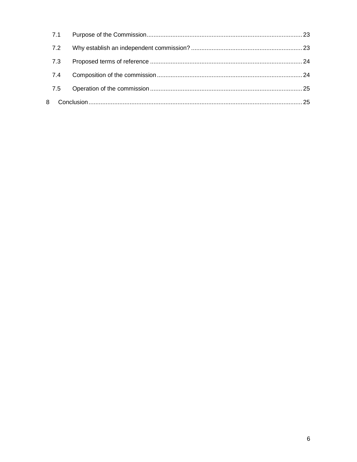|   | 7.1 |  |
|---|-----|--|
|   | 7.2 |  |
|   | 7.3 |  |
|   | 7.4 |  |
|   | 7.5 |  |
| 8 |     |  |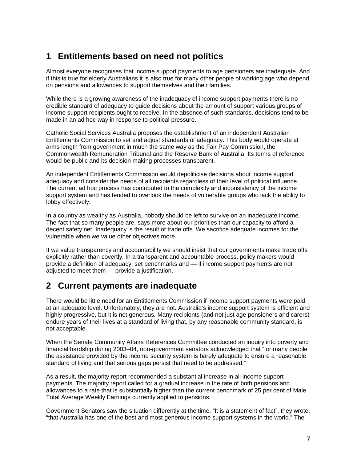# **1 Entitlements based on need not politics**

Almost everyone recognises that income support payments to age pensioners are inadequate. And if this is true for elderly Australians it is also true for many other people of working age who depend on pensions and allowances to support themselves and their families.

While there is a growing awareness of the inadequacy of income support payments there is no credible standard of adequacy to guide decisions about the amount of support various groups of income support recipients ought to receive. In the absence of such standards, decisions tend to be made in an ad hoc way in response to political pressure.

Catholic Social Services Australia proposes the establishment of an independent Australian Entitlements Commission to set and adjust standards of adequacy. This body would operate at arms length from government in much the same way as the Fair Pay Commission, the Commonwealth Remuneration Tribunal and the Reserve Bank of Australia. Its terms of reference would be public and its decision making processes transparent.

An independent Entitlements Commission would depoliticise decisions about income support adequacy and consider the needs of all recipients regardless of their level of political influence. The current ad hoc process has contributed to the complexity and inconsistency of the income support system and has tended to overlook the needs of vulnerable groups who lack the ability to lobby effectively.

In a country as wealthy as Australia, nobody should be left to survive on an inadequate income. The fact that so many people are, says more about our priorities than our capacity to afford a decent safety net. Inadequacy is the result of trade offs. We sacrifice adequate incomes for the vulnerable when we value other objectives more.

If we value transparency and accountability we should insist that our governments make trade offs explicitly rather than covertly. In a transparent and accountable process, policy makers would provide a definition of adequacy, set benchmarks and — if income support payments are not adjusted to meet them — provide a justification.

# **2 Current payments are inadequate**

There would be little need for an Entitlements Commission if income support payments were paid at an adequate level. Unfortunately, they are not. Australia's income support system is efficient and highly progressive, but it is not generous. Many recipients (and not just age pensioners and carers) endure years of their lives at a standard of living that, by any reasonable community standard, is not acceptable.

When the Senate Community Affairs References Committee conducted an inquiry into poverty and financial hardship during 2003–04, non-government senators acknowledged that "for many people the assistance provided by the income security system is barely adequate to ensure a reasonable standard of living and that serious gaps persist that need to be addressed."

As a result, the majority report recommended a substantial increase in all income support payments. The majority report called for a gradual increase in the rate of both pensions and allowances to a rate that is substantially higher than the current benchmark of 25 per cent of Male Total Average Weekly Earnings currently applied to pensions.

Government Senators saw the situation differently at the time. "It is a statement of fact", they wrote, "that Australia has one of the best and most generous income support systems in the world." The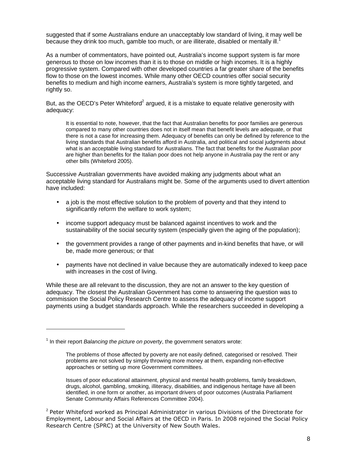suggested that if some Australians endure an unacceptably low standard of living, it may well be because they drink too much, gamble too much, or are illiterate, disabled or mentally ill.

As a number of commentators, have pointed out, Australia's income support system is far more generous to those on low incomes than it is to those on middle or high incomes. It is a highly progressive system. Compared with other developed countries a far greater share of the benefits flow to those on the lowest incomes. While many other OECD countries offer social security benefits to medium and high income earners, Australia's system is more tightly targeted, and rightly so.

But, as the OECD's Peter Whiteford<sup>2</sup> argued, it is a mistake to equate relative generosity with adequacy:

It is essential to note, however, that the fact that Australian benefits for poor families are generous compared to many other countries does not in itself mean that benefit levels are adequate, or that there is not a case for increasing them. Adequacy of benefits can only be defined by reference to the living standards that Australian benefits afford in Australia, and political and social judgments about what is an acceptable living standard for Australians. The fact that benefits for the Australian poor are higher than benefits for the Italian poor does not help anyone in Australia pay the rent or any other bills (Whiteford 2005).

Successive Australian governments have avoided making any judgments about what an acceptable living standard for Australians might be. Some of the arguments used to divert attention have included:

- a job is the most effective solution to the problem of poverty and that they intend to significantly reform the welfare to work system;
- income support adequacy must be balanced against incentives to work and the sustainability of the social security system (especially given the aging of the population);
- the government provides a range of other payments and in-kind benefits that have, or will be, made more generous; or that
- payments have not declined in value because they are automatically indexed to keep pace with increases in the cost of living.

While these are all relevant to the discussion, they are not an answer to the key question of adequacy. The closest the Australian Government has come to answering the question was to commission the Social Policy Research Centre to assess the adequacy of income support payments using a budget standards approach. While the researchers succeeded in developing a

l

 $1$  In their report Balancing the picture on poverty, the government senators wrote:

The problems of those affected by poverty are not easily defined, categorised or resolved. Their problems are not solved by simply throwing more money at them, expanding non-effective approaches or setting up more Government committees.

Issues of poor educational attainment, physical and mental health problems, family breakdown, drugs, alcohol, gambling, smoking, illiteracy, disabilities, and indigenous heritage have all been identified, in one form or another, as important drivers of poor outcomes (Australia Parliament Senate Community Affairs References Committee 2004).

<sup>&</sup>lt;sup>2</sup> Peter Whiteford worked as Principal Administrator in various Divisions of the Directorate for Employment, Labour and Social Affairs at the OECD in Paris. In 2008 rejoined the Social Policy Research Centre (SPRC) at the University of New South Wales.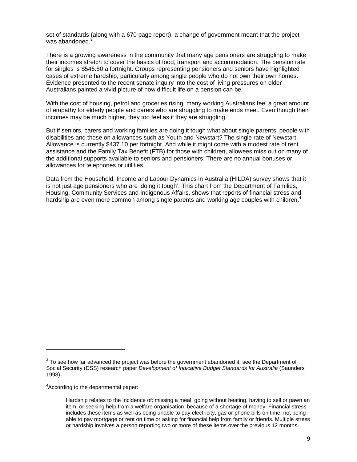set of standards (along with a 670 page report), a change of government meant that the project was abandoned.<sup>3</sup>

There is a growing awareness in the community that many age pensioners are struggling to make their incomes stretch to cover the basics of food, transport and accommodation. The pension rate for singles is \$546.80 a fortnight. Groups representing pensioners and seniors have highlighted cases of extreme hardship, particularly among single people who do not own their own homes. Evidence presented to the recent senate inquiry into the cost of living pressures on older Australians painted a vivid picture of how difficult life on a pension can be.

With the cost of housing, petrol and groceries rising, many working Australians feel a great amount of empathy for elderly people and carers who are struggling to make ends meet. Even though their incomes may be much higher, they too feel as if they are struggling.

But if seniors, carers and working families are doing it tough what about single parents, people with disabilities and those on allowances such as Youth and Newstart? The single rate of Newstart Allowance is currently \$437.10 per fortnight. And while it might come with a modest rate of rent assistance and the Family Tax Benefit (FTB) for those with children, allowees miss out on many of the additional supports available to seniors and pensioners. There are no annual bonuses or allowances for telephones or utilities.

Data from the Household, Income and Labour Dynamics in Australia (HILDA) survey shows that it is not just age pensioners who are 'doing it tough'. This chart from the Department of Families, Housing, Community Services and Indigenous Affairs, shows that reports of financial stress and hardship are even more common among single parents and working age couples with children.<sup>4</sup>

 $\overline{a}$ 

 $3$  To see how far advanced the project was before the government abandoned it, see the Department of Social Security (DSS) research paper Development of Indicative Budget Standards for Australia (Saunders 1998)

<sup>&</sup>lt;sup>4</sup> According to the departmental paper:

Hardship relates to the incidence of: missing a meal, going without heating, having to sell or pawn an item, or seeking help from a welfare organisation, because of a shortage of money. Financial stress includes these items as well as being unable to pay electricity, gas or phone bills on time, not being able to pay mortgage or rent on time or asking for financial help from family or friends. Multiple stress or hardship involves a person reporting two or more of these items over the previous 12 months.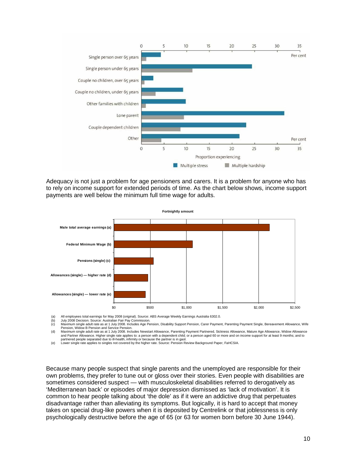

Adequacy is not just a problem for age pensioners and carers. It is a problem for anyone who has to rely on income support for extended periods of time. As the chart below shows, income support payments are well below the minimum full time wage for adults.



(a) All employees total earnings for May 2008 (original). Source: ABS Average Weekly Earnings Australia 6302.0.

(b) July 2008 Decision. Source: Australian Fair Pay Commission.

(c) Maximum single adult rate as at 1 July 2008. Includes Age Pension, Disability Support Pension, Carer Payment, Parenting Payment Single, Bereavement Allowance, Wife Pension, Widow B Pension and Service Pension. (d) Maximum single adult rate as at 1 July 2008. Includes Newstart Allowance, Parenting Payment Partnered, Sickness Allowance, Mature Age Allowance, Widow Allowance

and Partner Allowance. Higher single rate applies to: a person with a dependent child; or a person aged 60 or more and on income support for at least 9 months; and to<br>partnered people separated due to ill-health, infirmity

(e) Lower single rate applies to singles not covered by the higher rate. Source: Pension Review Background Paper, FaHCSIA.

Because many people suspect that single parents and the unemployed are responsible for their own problems, they prefer to tune out or gloss over their stories. Even people with disabilities are sometimes considered suspect — with musculoskeletal disabilities referred to derogatively as 'Mediterranean back' or episodes of major depression dismissed as 'lack of motivation'. It is common to hear people talking about 'the dole' as if it were an addictive drug that perpetuates disadvantage rather than alleviating its symptoms. But logically, it is hard to accept that money takes on special drug-like powers when it is deposited by Centrelink or that joblessness is only psychologically destructive before the age of 65 (or 63 for women born before 30 June 1944).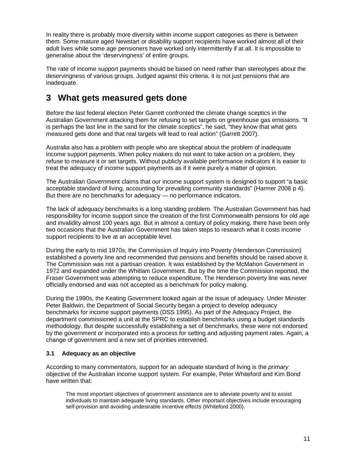In reality there is probably more diversity within income support categories as there is between them. Some mature aged Newstart or disability support recipients have worked almost all of their adult lives while some age pensioners have worked only intermittently if at all. It is impossible to generalise about the 'deservingness' of entire groups.

The rate of income support payments should be based on need rather than stereotypes about the deservingness of various groups. Judged against this criteria, it is not just pensions that are inadequate.

# **3 What gets measured gets done**

Before the last federal election Peter Garrett confronted the climate change sceptics in the Australian Government attacking them for refusing to set targets on greenhouse gas emissions. "It is perhaps the last line in the sand for the climate sceptics", he said, "they know that what gets measured gets done and that real targets will lead to real action" (Garrett 2007).

Australia also has a problem with people who are skeptical about the problem of inadequate income support payments. When policy makers do not want to take action on a problem, they refuse to measure it or set targets. Without publicly available performance indicators it is easier to treat the adequacy of income support payments as if it were purely a matter of opinion.

The Australian Government claims that our income support system is designed to support "a basic acceptable standard of living, accounting for prevailing community standards" (Harmer 2008 p 4). But there are no benchmarks for adequacy — no performance indicators.

The lack of adequacy benchmarks is a long standing problem. The Australian Government has had responsibility for income support since the creation of the first Commonwealth pensions for old age and invalidity almost 100 years ago. But in almost a century of policy making, there have been only two occasions that the Australian Government has taken steps to research what it costs income support recipients to live at an acceptable level.

During the early to mid 1970s, the Commission of Inquiry into Poverty (Henderson Commission) established a poverty line and recommended that pensions and benefits should be raised above it. The Commission was not a partisan creation. It was established by the McMahon Government in 1972 and expanded under the Whitlam Government. But by the time the Commission reported, the Fraser Government was attempting to reduce expenditure. The Henderson poverty line was never officially endorsed and was not accepted as a benchmark for policy making.

During the 1990s, the Keating Government looked again at the issue of adequacy. Under Minister Peter Baldwin, the Department of Social Security began a project to develop adequacy benchmarks for income support payments (DSS 1995). As part of the Adequacy Project, the department commissioned a unit at the SPRC to establish benchmarks using a budget standards methodology. But despite successfully establishing a set of benchmarks, these were not endorsed by the government or incorporated into a process for setting and adjusting payment rates. Again, a change of government and a new set of priorities intervened.

## **3.1 Adequacy as an objective**

According to many commentators, support for an adequate standard of living is the *primary* objective of the Australian income support system. For example, Peter Whiteford and Kim Bond have written that:

The most important objectives of government assistance are to alleviate poverty and to assist individuals to maintain adequate living standards. Other important objectives include encouraging self-provision and avoiding undesirable incentive effects (Whiteford 2000).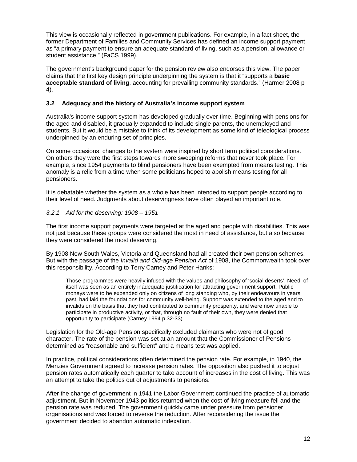This view is occasionally reflected in government publications. For example, in a fact sheet, the former Department of Families and Community Services has defined an income support payment as "a primary payment to ensure an adequate standard of living, such as a pension, allowance or student assistance." (FaCS 1999).

The government's background paper for the pension review also endorses this view. The paper claims that the first key design principle underpinning the system is that it "supports a **basic acceptable standard of living**, accounting for prevailing community standards." (Harmer 2008 p 4).

## **3.2 Adequacy and the history of Australia's income support system**

Australia's income support system has developed gradually over time. Beginning with pensions for the aged and disabled, it gradually expanded to include single parents, the unemployed and students. But it would be a mistake to think of its development as some kind of teleological process underpinned by an enduring set of principles.

On some occasions, changes to the system were inspired by short term political considerations. On others they were the first steps towards more sweeping reforms that never took place. For example, since 1954 payments to blind pensioners have been exempted from means testing. This anomaly is a relic from a time when some politicians hoped to abolish means testing for all pensioners.

It is debatable whether the system as a whole has been intended to support people according to their level of need. Judgments about deservingness have often played an important role.

#### 3.2.1 Aid for the deserving: 1908 – 1951

The first income support payments were targeted at the aged and people with disabilities. This was not just because these groups were considered the most in need of assistance, but also because they were considered the most deserving.

By 1908 New South Wales, Victoria and Queensland had all created their own pension schemes. But with the passage of the Invalid and Old-age Pension Act of 1908, the Commonwealth took over this responsibility. According to Terry Carney and Peter Hanks:

Those programmes were heavily infused with the values and philosophy of 'social deserts'. Need, of itself was seen as an entirely inadequate justification for attracting government support. Public moneys were to be expended only on citizens of long standing who, by their endeavours in years past, had laid the foundations for community well-being. Support was extended to the aged and to invalids on the basis that they had contributed to community prosperity, and were now unable to participate in productive activity, or that, through no fault of their own, they were denied that opportunity to participate (Carney 1994 p 32-33).

Legislation for the Old-age Pension specifically excluded claimants who were not of good character. The rate of the pension was set at an amount that the Commissioner of Pensions determined as "reasonable and sufficient" and a means test was applied.

In practice, political considerations often determined the pension rate. For example, in 1940, the Menzies Government agreed to increase pension rates. The opposition also pushed it to adjust pension rates automatically each quarter to take account of increases in the cost of living. This was an attempt to take the politics out of adjustments to pensions.

After the change of government in 1941 the Labor Government continued the practice of automatic adjustment. But in November 1943 politics returned when the cost of living measure fell and the pension rate was reduced. The government quickly came under pressure from pensioner organisations and was forced to reverse the reduction. After reconsidering the issue the government decided to abandon automatic indexation.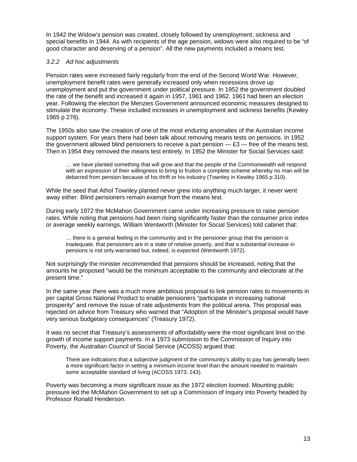In 1942 the Widow's pension was created, closely followed by unemployment, sickness and special benefits in 1944. As with recipients of the age pension, widows were also required to be "of good character and deserving of a pension". All the new payments included a means test.

#### 3.2.2 Ad hoc adjustments

Pension rates were increased fairly regularly from the end of the Second World War. However, unemployment benefit rates were generally increased only when recessions drove up unemployment and put the government under political pressure. In 1952 the government doubled the rate of the benefit and increased it again in 1957, 1961 and 1962. 1961 had been an election year. Following the election the Menzies Government announced economic measures designed to stimulate the economy. These included increases in unemployment and sickness benefits (Kewley 1965 p 276).

The 1950s also saw the creation of one of the most enduring anomalies of the Australian income support system. For years there had been talk about removing means tests on pensions. In 1952 the government allowed blind pensioners to receive a part pension  $-$  £3  $-$  free of the means test. Then in 1954 they removed the means test entirely. In 1952 the Minister for Social Services said:

… we have planted something that will grow and that the people of the Commonwealth will respond with an expression of their willingness to bring to fruition a complete scheme whereby no man will be debarred from pension because of his thrift or his industry (Townley in Kewley 1965 p 310).

While the seed that Athol Townley planted never grew into anything much larger, it never went away either. Blind pensioners remain exempt from the means test.

During early 1972 the McMahon Government came under increasing pressure to raise pension rates. While noting that pensions had been rising significantly faster than the consumer price index or average weekly earnings, William Wentworth (Minister for Social Services) told cabinet that:

… there is a general feeling in the community and in the pensioner group that the pension is inadequate, that pensioners are in a state of relative poverty, and that a substantial increase in pensions is not only warranted but, indeed, is expected (Wentworth 1972).

Not surprisingly the minister recommended that pensions should be increased, noting that the amounts he proposed "would be the minimum acceptable to the community and electorate at the present time."

In the same year there was a much more ambitious proposal to link pension rates to movements in per capital Gross National Product to enable pensioners "participate in increasing national prosperity" and remove the issue of rate adjustments from the political arena. This proposal was rejected on advice from Treasury who warned that "Adoption of the Minister's proposal would have very serious budgetary consequences" (Treasury 1972).

It was no secret that Treasury's assessments of affordability were the most significant limit on the growth of income support payments. In a 1973 submission to the Commission of Inquiry into Poverty, the Australian Council of Social Service (ACOSS) argued that:

There are indications that a subjective judgment of the community's ability to pay has generally been a more significant factor in setting a minimum income level than the amount needed to maintain some acceptable standard of living (ACOSS 1973: 243).

Poverty was becoming a more significant issue as the 1972 election loomed. Mounting public pressure led the McMahon Government to set up a Commission of Inquiry into Poverty headed by Professor Ronald Henderson.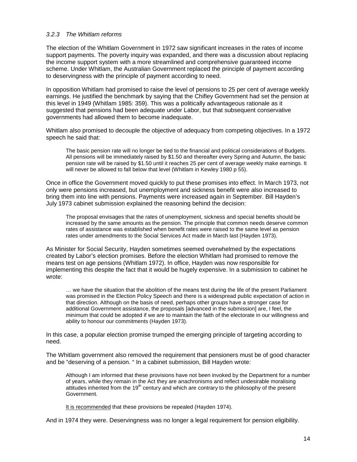#### 3.2.3 The Whitlam reforms

The election of the Whitlam Government in 1972 saw significant increases in the rates of income support payments. The poverty inquiry was expanded, and there was a discussion about replacing the income support system with a more streamlined and comprehensive guaranteed income scheme. Under Whitlam, the Australian Government replaced the principle of payment according to deservingness with the principle of payment according to need.

In opposition Whitlam had promised to raise the level of pensions to 25 per cent of average weekly earnings. He justified the benchmark by saying that the Chifley Government had set the pension at this level in 1949 (Whitlam 1985: 359). This was a politically advantageous rationale as it suggested that pensions had been adequate under Labor, but that subsequent conservative governments had allowed them to become inadequate.

Whitlam also promised to decouple the objective of adequacy from competing objectives. In a 1972 speech he said that:

The basic pension rate will no longer be tied to the financial and political considerations of Budgets. All pensions will be immediately raised by \$1.50 and thereafter every Spring and Autumn, the basic pension rate will be raised by \$1.50 until it reaches 25 per cent of average weekly make earnings. It will never be allowed to fall below that level (Whitlam in Kewley 1980 p 55).

Once in office the Government moved quickly to put these promises into effect. In March 1973, not only were pensions increased, but unemployment and sickness benefit were also increased to bring them into line with pensions. Payments were increased again in September. Bill Hayden's July 1973 cabinet submission explained the reasoning behind the decision:

The proposal envisages that the rates of unemployment, sickness and special benefits should be increased by the same amounts as the pension. The principle that common needs deserve common rates of assistance was established when benefit rates were raised to the same level as pension rates under amendments to the Social Services Act made in March last (Hayden 1973).

As Minister for Social Security, Hayden sometimes seemed overwhelmed by the expectations created by Labor's election promises. Before the election Whitlam had promised to remove the means test on age pensions (Whitlam 1972). In office, Hayden was now responsible for implementing this despite the fact that it would be hugely expensive. In a submission to cabinet he wrote:

… we have the situation that the abolition of the means test during the life of the present Parliament was promised in the Election Policy Speech and there is a widespread public expectation of action in that direction. Although on the basis of need, perhaps other groups have a stronger case for additional Government assistance, the proposals [advanced in the submission] are, I feel, the minimum that could be adopted if we are to maintain the faith of the electorate in our willingness and ability to honour our commitments (Hayden 1973).

In this case, a popular election promise trumped the emerging principle of targeting according to need.

The Whitlam government also removed the requirement that pensioners must be of good character and be "deserving of a pension. " In a cabinet submission, Bill Hayden wrote:

Although I am informed that these provisions have not been invoked by the Department for a number of years, while they remain in the Act they are anachronisms and reflect undesirable moralising attitudes inherited from the 19<sup>th</sup> century and which are contrary to the philosophy of the present Government.

It is recommended that these provisions be repealed (Hayden 1974).

And in 1974 they were. Deservingness was no longer a legal requirement for pension eligibility.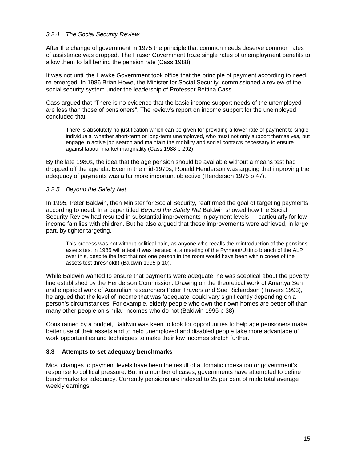#### 3.2.4 The Social Security Review

After the change of government in 1975 the principle that common needs deserve common rates of assistance was dropped. The Fraser Government froze single rates of unemployment benefits to allow them to fall behind the pension rate (Cass 1988).

It was not until the Hawke Government took office that the principle of payment according to need, re-emerged. In 1986 Brian Howe, the Minister for Social Security, commissioned a review of the social security system under the leadership of Professor Bettina Cass.

Cass argued that "There is no evidence that the basic income support needs of the unemployed are less than those of pensioners". The review's report on income support for the unemployed concluded that:

There is absolutely no justification which can be given for providing a lower rate of payment to single individuals, whether short-term or long-term unemployed, who must not only support themselves, but engage in active job search and maintain the mobility and social contacts necessary to ensure against labour market marginality (Cass 1988 p 292).

By the late 1980s, the idea that the age pension should be available without a means test had dropped off the agenda. Even in the mid-1970s, Ronald Henderson was arguing that improving the adequacy of payments was a far more important objective (Henderson 1975 p 47).

#### 3.2.5 Beyond the Safety Net

In 1995, Peter Baldwin, then Minister for Social Security, reaffirmed the goal of targeting payments according to need. In a paper titled Beyond the Safety Net Baldwin showed how the Social Security Review had resulted in substantial improvements in payment levels — particularly for low income families with children. But he also argued that these improvements were achieved, in large part, by tighter targeting.

This process was not without political pain, as anyone who recalls the reintroduction of the pensions assets test in 1985 will attest (I was berated at a meeting of the Pyrmont/Ultimo branch of the ALP over this, despite the fact that not one person in the room would have been within cooee of the assets test threshold!) (Baldwin 1995 p 10).

While Baldwin wanted to ensure that payments were adequate, he was sceptical about the poverty line established by the Henderson Commission. Drawing on the theoretical work of Amartya Sen and empirical work of Australian researchers Peter Travers and Sue Richardson (Travers 1993), he argued that the level of income that was 'adequate' could vary significantly depending on a person's circumstances. For example, elderly people who own their own homes are better off than many other people on similar incomes who do not (Baldwin 1995 p 38).

Constrained by a budget, Baldwin was keen to look for opportunities to help age pensioners make better use of their assets and to help unemployed and disabled people take more advantage of work opportunities and techniques to make their low incomes stretch further.

#### **3.3 Attempts to set adequacy benchmarks**

Most changes to payment levels have been the result of automatic indexation or government's response to political pressure. But in a number of cases, governments have attempted to define benchmarks for adequacy. Currently pensions are indexed to 25 per cent of male total average weekly earnings.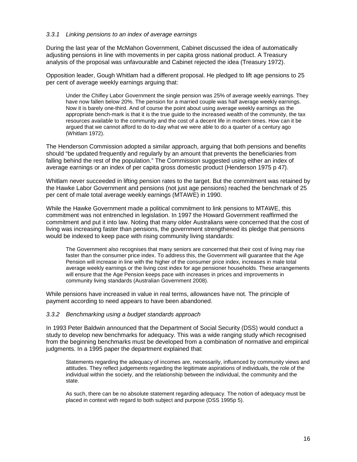#### 3.3.1 Linking pensions to an index of average earnings

During the last year of the McMahon Government, Cabinet discussed the idea of automatically adjusting pensions in line with movements in per capita gross national product. A Treasury analysis of the proposal was unfavourable and Cabinet rejected the idea (Treasury 1972).

Opposition leader, Gough Whitlam had a different proposal. He pledged to lift age pensions to 25 per cent of average weekly earnings arguing that:

Under the Chifley Labor Government the single pension was 25% of average weekly earnings. They have now fallen below 20%. The pension for a married couple was half average weekly earnings. Now it is barely one-third. And of course the point about using average weekly earnings as the appropriate bench-mark is that it is the true guide to the increased wealth of the community, the tax resources available to the community and the cost of a decent life in modern times. How can it be argued that we cannot afford to do to-day what we were able to do a quarter of a century ago (Whitlam 1972).

The Henderson Commission adopted a similar approach, arguing that both pensions and benefits should "be updated frequently and regularly by an amount that prevents the beneficiaries from falling behind the rest of the population." The Commission suggested using either an index of average earnings or an index of per capita gross domestic product (Henderson 1975 p 47).

Whitlam never succeeded in lifting pension rates to the target. But the commitment was retained by the Hawke Labor Government and pensions (not just age pensions) reached the benchmark of 25 per cent of male total average weekly earnings (MTAWE) in 1990.

While the Hawke Government made a political commitment to link pensions to MTAWE, this commitment was not entrenched in legislation. In 1997 the Howard Government reaffirmed the commitment and put it into law. Noting that many older Australians were concerned that the cost of living was increasing faster than pensions, the government strengthened its pledge that pensions would be indexed to keep pace with rising community living standards:

The Government also recognises that many seniors are concerned that their cost of living may rise faster than the consumer price index. To address this, the Government will guarantee that the Age Pension will increase in line with the higher of the consumer price index, increases in male total average weekly earnings or the living cost index for age pensioner households. These arrangements will ensure that the Age Pension keeps pace with increases in prices and improvements in community living standards (Australian Government 2008).

While pensions have increased in value in real terms, allowances have not. The principle of payment according to need appears to have been abandoned.

#### 3.3.2 Benchmarking using a budget standards approach

In 1993 Peter Baldwin announced that the Department of Social Security (DSS) would conduct a study to develop new benchmarks for adequacy. This was a wide ranging study which recognised from the beginning benchmarks must be developed from a combination of normative and empirical judgments. In a 1995 paper the department explained that:

Statements regarding the adequacy of incomes are, necessarily, influenced by community views and attitudes. They reflect judgements regarding the legitimate aspirations of individuals, the role of the individual within the society, and the relationship between the individual, the community and the state.

As such, there can be no absolute statement regarding adequacy. The notion of adequacy must be placed in context with regard to both subject and purpose (DSS 1995p 5).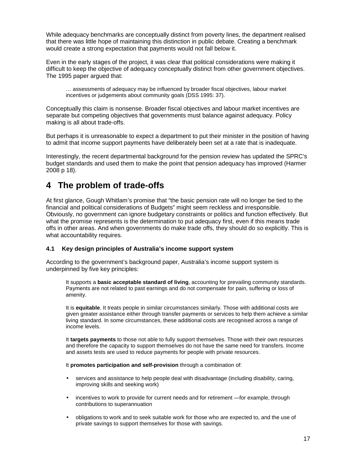While adequacy benchmarks are conceptually distinct from poverty lines, the department realised that there was little hope of maintaining this distinction in public debate. Creating a benchmark would create a strong expectation that payments would not fall below it.

Even in the early stages of the project, it was clear that political considerations were making it difficult to keep the objective of adequacy conceptually distinct from other government objectives. The 1995 paper argued that:

… assessments of adequacy may be influenced by broader fiscal objectives, labour market incentives or judgements about community goals (DSS 1995: 37).

Conceptually this claim is nonsense. Broader fiscal objectives and labour market incentives are separate but competing objectives that governments must balance against adequacy. Policy making is all about trade-offs.

But perhaps it is unreasonable to expect a department to put their minister in the position of having to admit that income support payments have deliberately been set at a rate that is inadequate.

Interestingly, the recent departmental background for the pension review has updated the SPRC's budget standards and used them to make the point that pension adequacy has improved (Harmer 2008 p 18).

# **4 The problem of trade-offs**

At first glance, Gough Whitlam's promise that "the basic pension rate will no longer be tied to the financial and political considerations of Budgets" might seem reckless and irresponsible. Obviously, no government can ignore budgetary constraints or politics and function effectively. But what the promise represents is the determination to put adequacy first, even if this means trade offs in other areas. And when governments do make trade offs, they should do so explicitly. This is what accountability requires.

#### **4.1 Key design principles of Australia's income support system**

According to the government's background paper, Australia's income support system is underpinned by five key principles:

It supports a **basic acceptable standard of living**, accounting for prevailing community standards. Payments are not related to past earnings and do not compensate for pain, suffering or loss of amenity.

It is **equitable**. It treats people in similar circumstances similarly. Those with additional costs are given greater assistance either through transfer payments or services to help them achieve a similar living standard. In some circumstances, these additional costs are recognised across a range of income levels.

It **targets payments** to those not able to fully support themselves. Those with their own resources and therefore the capacity to support themselves do not have the same need for transfers. Income and assets tests are used to reduce payments for people with private resources.

It **promotes participation and self-provision** through a combination of:

- services and assistance to help people deal with disadvantage (including disability, caring, improving skills and seeking work)
- incentives to work to provide for current needs and for retirement —for example, through contributions to superannuation
- obligations to work and to seek suitable work for those who are expected to, and the use of private savings to support themselves for those with savings.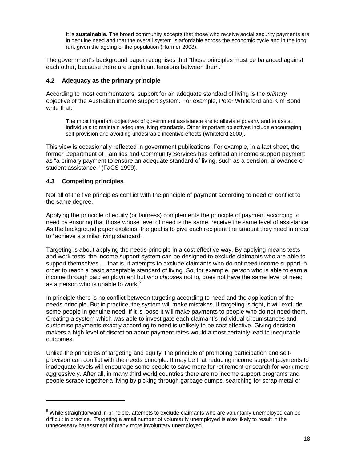It is **sustainable**. The broad community accepts that those who receive social security payments are in genuine need and that the overall system is affordable across the economic cycle and in the long run, given the ageing of the population (Harmer 2008).

The government's background paper recognises that "these principles must be balanced against each other, because there are significant tensions between them."

#### **4.2 Adequacy as the primary principle**

According to most commentators, support for an adequate standard of living is the *primary* objective of the Australian income support system. For example, Peter Whiteford and Kim Bond write that:

The most important objectives of government assistance are to alleviate poverty and to assist individuals to maintain adequate living standards. Other important objectives include encouraging self-provision and avoiding undesirable incentive effects (Whiteford 2000).

This view is occasionally reflected in government publications. For example, in a fact sheet, the former Department of Families and Community Services has defined an income support payment as "a primary payment to ensure an adequate standard of living, such as a pension, allowance or student assistance." (FaCS 1999).

## **4.3 Competing principles**

 $\overline{a}$ 

Not all of the five principles conflict with the principle of payment according to need or conflict to the same degree.

Applying the principle of equity (or fairness) complements the principle of payment according to need by ensuring that those whose level of need is the same, receive the same level of assistance. As the background paper explains, the goal is to give each recipient the amount they need in order to "achieve a similar living standard".

Targeting is about applying the needs principle in a cost effective way. By applying means tests and work tests, the income support system can be designed to exclude claimants who are able to support themselves — that is, it attempts to exclude claimants who do not need income support in order to reach a basic acceptable standard of living. So, for example, person who is able to earn a income through paid employment but who chooses not to, does not have the same level of need as a person who is unable to work.<sup>5</sup>

In principle there is no conflict between targeting according to need and the application of the needs principle. But in practice, the system will make mistakes. If targeting is tight, it will exclude some people in genuine need. If it is loose it will make payments to people who do not need them. Creating a system which was able to investigate each claimant's individual circumstances and customise payments exactly according to need is unlikely to be cost effective. Giving decision makers a high level of discretion about payment rates would almost certainly lead to inequitable outcomes.

Unlike the principles of targeting and equity, the principle of promoting participation and selfprovision can conflict with the needs principle. It may be that reducing income support payments to inadequate levels will encourage some people to save more for retirement or search for work more aggressively. After all, in many third world countries there are no income support programs and people scrape together a living by picking through garbage dumps, searching for scrap metal or

<sup>&</sup>lt;sup>5</sup> While straightforward in principle, attempts to exclude claimants who are voluntarily unemployed can be difficult in practice. Targeting a small number of voluntarily unemployed is also likely to result in the unnecessary harassment of many more involuntary unemployed.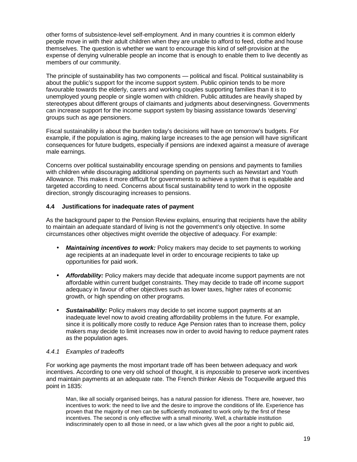other forms of subsistence-level self-employment. And in many countries it is common elderly people move in with their adult children when they are unable to afford to feed, clothe and house themselves. The question is whether we want to encourage this kind of self-provision at the expense of denying vulnerable people an income that is enough to enable them to live decently as members of our community.

The principle of sustainability has two components — political and fiscal. Political sustainability is about the public's support for the income support system. Public opinion tends to be more favourable towards the elderly, carers and working couples supporting families than it is to unemployed young people or single women with children. Public attitudes are heavily shaped by stereotypes about different groups of claimants and judgments about deservingness. Governments can increase support for the income support system by biasing assistance towards 'deserving' groups such as age pensioners.

Fiscal sustainability is about the burden today's decisions will have on tomorrow's budgets. For example, if the population is aging, making large increases to the age pension will have significant consequences for future budgets, especially if pensions are indexed against a measure of average male earnings.

Concerns over political sustainability encourage spending on pensions and payments to families with children while discouraging additional spending on payments such as Newstart and Youth Allowance. This makes it more difficult for governments to achieve a system that is equitable and targeted according to need. Concerns about fiscal sustainability tend to work in the opposite direction, strongly discouraging increases to pensions.

#### **4.4 Justifications for inadequate rates of payment**

As the background paper to the Pension Review explains, ensuring that recipients have the ability to maintain an adequate standard of living is not the government's only objective. In some circumstances other objectives might override the objective of adequacy. For example:

- *Maintaining incentives to work: Policy makers may decide to set payments to working* age recipients at an inadequate level in order to encourage recipients to take up opportunities for paid work.
- **Affordability:** Policy makers may decide that adequate income support payments are not affordable within current budget constraints. They may decide to trade off income support adequacy in favour of other objectives such as lower taxes, higher rates of economic growth, or high spending on other programs.
- **Sustainability:** Policy makers may decide to set income support payments at an inadequate level now to avoid creating affordability problems in the future. For example, since it is politically more costly to reduce Age Pension rates than to increase them, policy makers may decide to limit increases now in order to avoid having to reduce payment rates as the population ages.

#### 4.4.1 Examples of tradeoffs

For working age payments the most important trade off has been between adequacy and work incentives. According to one very old school of thought, it is *impossible* to preserve work incentives and maintain payments at an adequate rate. The French thinker Alexis de Tocqueville argued this point in 1835:

Man, like all socially organised beings, has a natural passion for idleness. There are, however, two incentives to work: the need to live and the desire to improve the conditions of life. Experience has proven that the majority of men can be sufficiently motivated to work only by the first of these incentives. The second is only effective with a small minority. Well, a charitable institution indiscriminately open to all those in need, or a law which gives all the poor a right to public aid,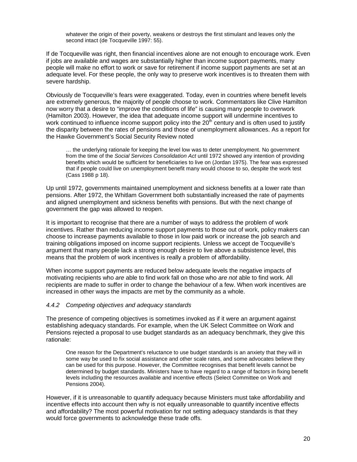whatever the origin of their poverty, weakens or destroys the first stimulant and leaves only the second intact (de Tocqueville 1997: 55).

If de Tocqueville was right, then financial incentives alone are not enough to encourage work. Even if jobs are available and wages are substantially higher than income support payments, many people will make no effort to work or save for retirement if income support payments are set at an adequate level. For these people, the only way to preserve work incentives is to threaten them with severe hardship.

Obviously de Tocqueville's fears were exaggerated. Today, even in countries where benefit levels are extremely generous, the majority of people choose to work. Commentators like Clive Hamilton now worry that a desire to "improve the conditions of life" is causing many people to overwork (Hamilton 2003). However, the idea that adequate income support will undermine incentives to work continued to influence income support policy into the  $20<sup>th</sup>$  century and is often used to justify the disparity between the rates of pensions and those of unemployment allowances. As a report for the Hawke Government's Social Security Review noted

… the underlying rationale for keeping the level low was to deter unemployment. No government from the time of the Social Services Consolidation Act until 1972 showed any intention of providing benefits which would be sufficient for beneficiaries to live on (Jordan 1975). The fear was expressed that if people could live on unemployment benefit many would choose to so, despite the work test (Cass 1988 p 18).

Up until 1972, governments maintained unemployment and sickness benefits at a lower rate than pensions. After 1972, the Whitlam Government both substantially increased the rate of payments and aligned unemployment and sickness benefits with pensions. But with the next change of government the gap was allowed to reopen.

It is important to recognise that there are a number of ways to address the problem of work incentives. Rather than reducing income support payments to those out of work, policy makers can choose to increase payments available to those in low paid work or increase the job search and training obligations imposed on income support recipients. Unless we accept de Tocqueville's argument that many people lack a strong enough desire to live above a subsistence level, this means that the problem of work incentives is really a problem of affordability.

When income support payments are reduced below adequate levels the negative impacts of motivating recipients who are able to find work fall on those who are not able to find work. All recipients are made to suffer in order to change the behaviour of a few. When work incentives are increased in other ways the impacts are met by the community as a whole.

#### 4.4.2 Competing objectives and adequacy standards

The presence of competing objectives is sometimes invoked as if it were an argument against establishing adequacy standards. For example, when the UK Select Committee on Work and Pensions rejected a proposal to use budget standards as an adequacy benchmark, they give this rationale:

One reason for the Department's reluctance to use budget standards is an anxiety that they will in some way be used to fix social assistance and other scale rates, and some advocates believe they can be used for this purpose. However, the Committee recognises that benefit levels cannot be determined by budget standards. Ministers have to have regard to a range of factors in fixing benefit levels including the resources available and incentive effects (Select Committee on Work and Pensions 2004).

However, if it is unreasonable to quantify adequacy because Ministers must take affordability and incentive effects into account then why is not equally unreasonable to quantify incentive effects and affordability? The most powerful motivation for not setting adequacy standards is that they would force governments to acknowledge these trade offs.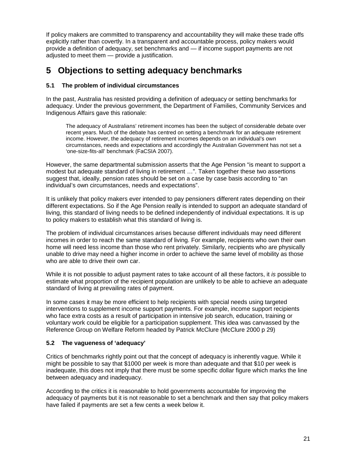If policy makers are committed to transparency and accountability they will make these trade offs explicitly rather than covertly. In a transparent and accountable process, policy makers would provide a definition of adequacy, set benchmarks and — if income support payments are not adjusted to meet them — provide a justification.

# **5 Objections to setting adequacy benchmarks**

## **5.1 The problem of individual circumstances**

In the past, Australia has resisted providing a definition of adequacy or setting benchmarks for adequacy. Under the previous government, the Department of Families, Community Services and Indigenous Affairs gave this rationale:

The adequacy of Australians' retirement incomes has been the subject of considerable debate over recent years. Much of the debate has centred on setting a benchmark for an adequate retirement income. However, the adequacy of retirement incomes depends on an individual's own circumstances, needs and expectations and accordingly the Australian Government has not set a 'one-size-fits-all' benchmark (FaCSIA 2007).

However, the same departmental submission asserts that the Age Pension "is meant to support a modest but adequate standard of living in retirement …". Taken together these two assertions suggest that, ideally, pension rates should be set on a case by case basis according to "an individual's own circumstances, needs and expectations".

It is unlikely that policy makers ever intended to pay pensioners different rates depending on their different expectations. So if the Age Pension really is intended to support an adequate standard of living, this standard of living needs to be defined independently of individual expectations. It is up to policy makers to establish what this standard of living is.

The problem of individual circumstances arises because different individuals may need different incomes in order to reach the same standard of living. For example, recipients who own their own home will need less income than those who rent privately. Similarly, recipients who are physically unable to drive may need a higher income in order to achieve the same level of mobility as those who are able to drive their own car.

While it is not possible to adjust payment rates to take account of all these factors, it is possible to estimate what proportion of the recipient population are unlikely to be able to achieve an adequate standard of living at prevailing rates of payment.

In some cases it may be more efficient to help recipients with special needs using targeted interventions to supplement income support payments. For example, income support recipients who face extra costs as a result of participation in intensive job search, education, training or voluntary work could be eligible for a participation supplement. This idea was canvassed by the Reference Group on Welfare Reform headed by Patrick McClure (McClure 2000 p 29)

## **5.2 The vagueness of 'adequacy'**

Critics of benchmarks rightly point out that the concept of adequacy is inherently vague. While it might be possible to say that \$1000 per week is more than adequate and that \$10 per week is inadequate, this does not imply that there must be some specific dollar figure which marks the line between adequacy and inadequacy.

According to the critics it is reasonable to hold governments accountable for improving the adequacy of payments but it is not reasonable to set a benchmark and then say that policy makers have failed if payments are set a few cents a week below it.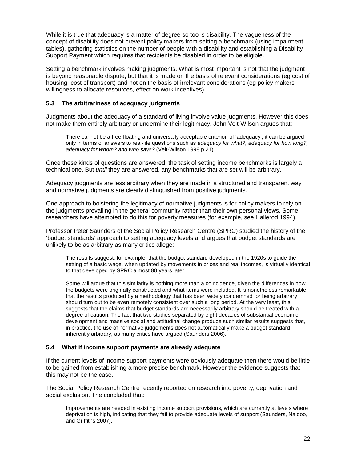While it is true that adequacy is a matter of degree so too is disability. The vagueness of the concept of disability does not prevent policy makers from setting a benchmark (using impairment tables), gathering statistics on the number of people with a disability and establishing a Disability Support Payment which requires that recipients be disabled in order to be eligible.

Setting a benchmark involves making judgments. What is most important is not that the judgment is beyond reasonable dispute, but that it is made on the basis of relevant considerations (eg cost of housing, cost of transport) and not on the basis of irrelevant considerations (eg policy makers willingness to allocate resources, effect on work incentives).

#### **5.3 The arbitrariness of adequacy judgments**

Judgments about the adequacy of a standard of living involve value judgments. However this does not make them entirely arbitrary or undermine their legitimacy. John Veit-Wilson argues that:

There cannot be a free-floating and universally acceptable criterion of 'adequacy'; it can be argued only in terms of answers to real-life questions such as adequacy for what?, adequacy for how long?, adequacy for whom? and who says? (Veit-Wilson 1998 p 21).

Once these kinds of questions are answered, the task of setting income benchmarks is largely a technical one. But until they are answered, any benchmarks that are set will be arbitrary.

Adequacy judgments are less arbitrary when they are made in a structured and transparent way and normative judgments are clearly distinguished from positive judgments.

One approach to bolstering the legitimacy of normative judgments is for policy makers to rely on the judgments prevailing in the general community rather than their own personal views. Some researchers have attempted to do this for poverty measures (for example, see Hallerod 1994).

Professor Peter Saunders of the Social Policy Research Centre (SPRC) studied the history of the 'budget standards' approach to setting adequacy levels and argues that budget standards are unlikely to be as arbitrary as many critics allege:

The results suggest, for example, that the budget standard developed in the 1920s to guide the setting of a basic wage, when updated by movements in prices and real incomes, is virtually identical to that developed by SPRC almost 80 years later.

Some will argue that this similarity is nothing more than a coincidence, given the differences in how the budgets were originally constructed and what items were included. It is nonetheless remarkable that the results produced by a methodology that has been widely condemned for being arbitrary should turn out to be even remotely consistent over such a long period. At the very least, this suggests that the claims that budget standards are necessarily arbitrary should be treated with a degree of caution. The fact that two studies separated by eight decades of substantial economic development and massive social and attitudinal change produce such similar results suggests that, in practice, the use of normative judgements does not automatically make a budget standard inherently arbitrary, as many critics have argued (Saunders 2006).

#### **5.4 What if income support payments are already adequate**

If the current levels of income support payments were obviously adequate then there would be little to be gained from establishing a more precise benchmark. However the evidence suggests that this may not be the case.

The Social Policy Research Centre recently reported on research into poverty, deprivation and social exclusion. The concluded that:

Improvements are needed in existing income support provisions, which are currently at levels where deprivation is high, indicating that they fail to provide adequate levels of support (Saunders, Naidoo, and Griffiths 2007).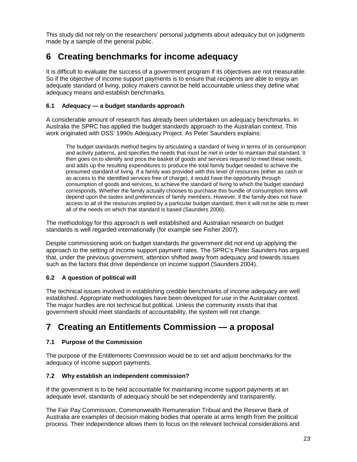This study did not rely on the researchers' personal judgments about adequacy but on judgments made by a sample of the general public.

# **6 Creating benchmarks for income adequacy**

It is difficult to evaluate the success of a government program if its objectives are not measurable. So if the objective of income support payments is to ensure that recipients are able to enjoy an adequate standard of living, policy makers cannot be held accountable unless they define what adequacy means and establish benchmarks.

## **6.1 Adequacy — a budget standards approach**

A considerable amount of research has already been undertaken on adequacy benchmarks. In Australia the SPRC has applied the budget standards approach to the Australian context. This work originated with DSS' 1990s Adequacy Project. As Peter Saunders explains:

The budget standards method begins by articulating a standard of living in terms of its consumption and activity patterns, and specifies the needs that must be met in order to maintain that standard. It then goes on to identify and price the basket of goods and services required to meet these needs, and adds up the resulting expenditures to produce the total family budget needed to achieve the presumed standard of living. If a family was provided with this level of resources (either as cash or as access to the identified services free of charge), it would have the opportunity through consumption of goods and services, to achieve the standard of living to which the budget standard corresponds. Whether the family actually chooses to purchase this bundle of consumption items will depend upon the tastes and preferences of family members. However, if the family does not have access to all of the resources implied by a particular budget standard, then it will not be able to meet all of the needs on which that standard is based (Saunders 2006).

The methodology for this approach is well established and Australian research on budget standards is well regarded internationally (for example see Fisher 2007).

Despite commissioning work on budget standards the government did not end up applying the approach to the setting of income support payment rates. The SPRC's Peter Saunders has argued that, under the previous government, attention shifted away from adequacy and towards issues such as the factors that drive dependence on income support (Saunders 2004).

## **6.2 A question of political will**

The technical issues involved in establishing credible benchmarks of income adequacy are well established. Appropriate methodologies have been developed for use in the Australian context. The major hurdles are not technical but political. Unless the community insists that that government should meet standards of accountability, the system will not change.

# **7 Creating an Entitlements Commission — a proposal**

## **7.1 Purpose of the Commission**

The purpose of the Entitlements Commission would be to set and adjust benchmarks for the adequacy of income support payments.

#### **7.2 Why establish an independent commission?**

If the government is to be held accountable for maintaining income support payments at an adequate level, standards of adequacy should be set independently and transparently.

The Fair Pay Commission, Commonwealth Remuneration Tribual and the Reserve Bank of Australia are examples of decision making bodies that operate at arms length from the political process. Their independence allows them to focus on the relevant technical considerations and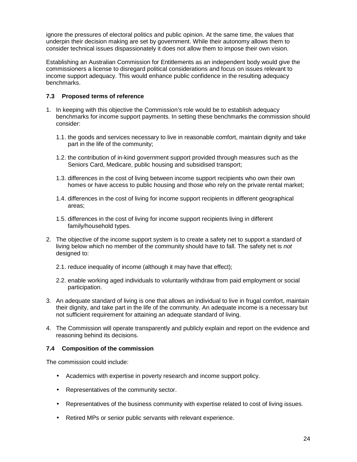ignore the pressures of electoral politics and public opinion. At the same time, the values that underpin their decision making are set by government. While their autonomy allows them to consider technical issues dispassionately it does not allow them to impose their own vision.

Establishing an Australian Commission for Entitlements as an independent body would give the commissioners a license to disregard political considerations and focus on issues relevant to income support adequacy. This would enhance public confidence in the resulting adequacy benchmarks.

## **7.3 Proposed terms of reference**

- 1. In keeping with this objective the Commission's role would be to establish adequacy benchmarks for income support payments. In setting these benchmarks the commission should consider:
	- 1.1. the goods and services necessary to live in reasonable comfort, maintain dignity and take part in the life of the community;
	- 1.2. the contribution of in-kind government support provided through measures such as the Seniors Card, Medicare, public housing and subsidised transport;
	- 1.3. differences in the cost of living between income support recipients who own their own homes or have access to public housing and those who rely on the private rental market;
	- 1.4. differences in the cost of living for income support recipients in different geographical areas;
	- 1.5. differences in the cost of living for income support recipients living in different family/household types.
- 2. The objective of the income support system is to create a safety net to support a standard of living below which no member of the community should have to fall. The safety net is not designed to:
	- 2.1. reduce inequality of income (although it may have that effect);
	- 2.2. enable working aged individuals to voluntarily withdraw from paid employment or social participation.
- 3. An adequate standard of living is one that allows an individual to live in frugal comfort, maintain their dignity, and take part in the life of the community. An adequate income is a necessary but not sufficient requirement for attaining an adequate standard of living.
- 4. The Commission will operate transparently and publicly explain and report on the evidence and reasoning behind its decisions.

#### **7.4 Composition of the commission**

The commission could include:

- Academics with expertise in poverty research and income support policy.
- Representatives of the community sector.
- Representatives of the business community with expertise related to cost of living issues.
- Retired MPs or senior public servants with relevant experience.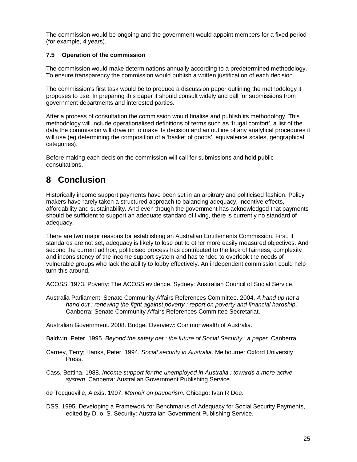The commission would be ongoing and the government would appoint members for a fixed period (for example, 4 years).

## **7.5 Operation of the commission**

The commission would make determinations annually according to a predetermined methodology. To ensure transparency the commission would publish a written justification of each decision.

The commission's first task would be to produce a discussion paper outlining the methodology it proposes to use. In preparing this paper it should consult widely and call for submissions from government departments and interested parties.

After a process of consultation the commission would finalise and publish its methodology. This methodology will include operationalised definitions of terms such as 'frugal comfort', a list of the data the commission will draw on to make its decision and an outline of any analytical procedures it will use (eg determining the composition of a 'basket of goods', equivalence scales, geographical categories).

Before making each decision the commission will call for submissions and hold public consultations.

# **8 Conclusion**

Historically income support payments have been set in an arbitrary and politicised fashion. Policy makers have rarely taken a structured approach to balancing adequacy, incentive effects, affordability and sustainability. And even though the government has acknowledged that payments should be sufficient to support an adequate standard of living, there is currently no standard of adequacy.

There are two major reasons for establishing an Australian Entitlements Commission. First, if standards are not set, adequacy is likely to lose out to other more easily measured objectives. And second the current ad hoc, politicised process has contributed to the lack of fairness, complexity and inconsistency of the income support system and has tended to overlook the needs of vulnerable groups who lack the ability to lobby effectively. An independent commission could help turn this around.

ACOSS. 1973. Poverty: The ACOSS evidence. Sydney: Australian Council of Social Service.

Australia Parliament Senate Community Affairs References Committee. 2004. A hand up not a hand out : renewing the fight against poverty : report on poverty and financial hardship. Canberra: Senate Community Affairs References Committee Secretariat.

Australian Government. 2008. Budget Overview: Commonwealth of Australia.

Baldwin, Peter. 1995. Beyond the safety net : the future of Social Security : a paper. Canberra.

Carney, Terry; Hanks, Peter. 1994. Social security in Australia. Melbourne: Oxford University Press.

Cass, Bettina. 1988. Income support for the unemployed in Australia : towards a more active system. Canberra: Australian Government Publishing Service.

de Tocqueville, Alexis. 1997. Memoir on pauperism. Chicago: Ivan R Dee.

DSS. 1995. Developing a Framework for Benchmarks of Adequacy for Social Security Payments, edited by D. o. S. Security: Australian Government Publishing Service.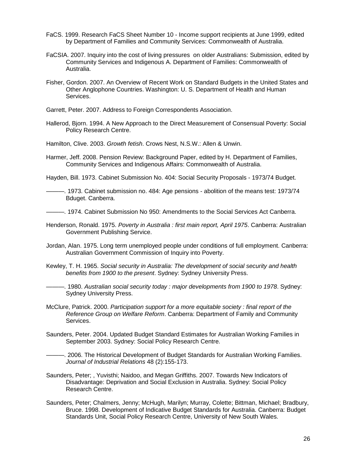- FaCS. 1999. Research FaCS Sheet Number 10 Income support recipients at June 1999, edited by Department of Families and Community Services: Commonwealth of Australia.
- FaCSIA. 2007. Inquiry into the cost of living pressures on older Australians: Submission, edited by Community Services and Indigenous A. Department of Families: Commonwealth of Australia.
- Fisher, Gordon. 2007. An Overview of Recent Work on Standard Budgets in the United States and Other Anglophone Countries. Washington: U. S. Department of Health and Human Services.
- Garrett, Peter. 2007. Address to Foreign Correspondents Association.
- Hallerod, Bjorn. 1994. A New Approach to the Direct Measurement of Consensual Poverty: Social Policy Research Centre.
- Hamilton, Clive. 2003. Growth fetish. Crows Nest, N.S.W.: Allen & Unwin.
- Harmer, Jeff. 2008. Pension Review: Background Paper, edited by H. Department of Families, Community Services and Indigenous Affairs: Commonwealth of Australia.

Hayden, Bill. 1973. Cabinet Submission No. 404: Social Security Proposals - 1973/74 Budget.

———. 1973. Cabinet submission no. 484: Age pensions - abolition of the means test: 1973/74 Bduget. Canberra.

———. 1974. Cabinet Submission No 950: Amendments to the Social Services Act Canberra.

- Henderson, Ronald. 1975. Poverty in Australia : first main report, April 1975. Canberra: Australian Government Publishing Service.
- Jordan, Alan. 1975. Long term unemployed people under conditions of full employment. Canberra: Australian Government Commission of Inquiry into Poverty.
- Kewley, T. H. 1965. Social security in Australia: The development of social security and health benefits from 1900 to the present. Sydney: Sydney University Press.
- ———. 1980. Australian social security today : major developments from 1900 to 1978. Sydney: Sydney University Press.
- McClure, Patrick. 2000. Participation support for a more equitable society : final report of the Reference Group on Welfare Reform. Canberra: Department of Family and Community Services.
- Saunders, Peter. 2004. Updated Budget Standard Estimates for Australian Working Families in September 2003. Sydney: Social Policy Research Centre.

———. 2006. The Historical Development of Budget Standards for Australian Working Families. Journal of Industrial Relations 48 (2):155-173.

- Saunders, Peter; , Yuvisthi; Naidoo, and Megan Griffiths. 2007. Towards New Indicators of Disadvantage: Deprivation and Social Exclusion in Australia. Sydney: Social Policy Research Centre.
- Saunders, Peter; Chalmers, Jenny; McHugh, Marilyn; Murray, Colette; Bittman, Michael; Bradbury, Bruce. 1998. Development of Indicative Budget Standards for Australia. Canberra: Budget Standards Unit, Social Policy Research Centre, University of New South Wales.